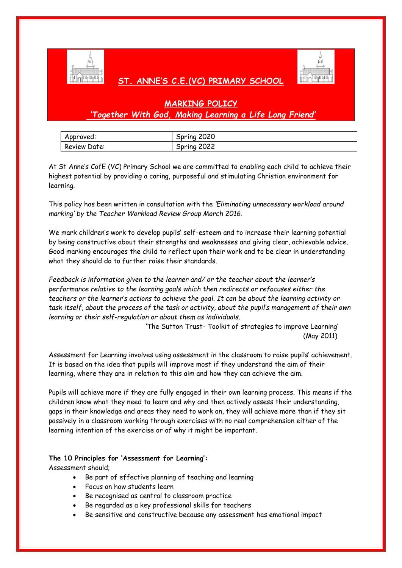

# **ST. ANNE'S C.E.(VC) PRIMARY SCHOOL**



# **MARKING POLICY** *'Together With God, Making Learning a Life Long Friend'*

| Approved:    | Spring 2020    |
|--------------|----------------|
| Review Date: | 2022<br>Spring |

At St Anne's CofE (VC) Primary School we are committed to enabling each child to achieve their highest potential by providing a caring, purposeful and stimulating Christian environment for learning.

This policy has been written in consultation with the *'Eliminating unnecessary workload around marking' by the Teacher Workload Review Group March 2016.*

We mark children's work to develop pupils' self-esteem and to increase their learning potential by being constructive about their strengths and weaknesses and giving clear, achievable advice. Good marking encourages the child to reflect upon their work and to be clear in understanding what they should do to further raise their standards.

*Feedback is information given to the learner and/ or the teacher about the learner's performance relative to the learning goals which then redirects or refocuses either the teachers or the learner's actions to achieve the goal. It can be about the learning activity or task itself, about the process of the task or activity, about the pupil's management of their own learning or their self-regulation or about them as individuals.* 

> 'The Sutton Trust- Toolkit of strategies to improve Learning' (May 2011)

Assessment for Learning involves using assessment in the classroom to raise pupils' achievement. It is based on the idea that pupils will improve most if they understand the aim of their learning, where they are in relation to this aim and how they can achieve the aim.

Pupils will achieve more if they are fully engaged in their own learning process. This means if the children know what they need to learn and why and then actively assess their understanding, gaps in their knowledge and areas they need to work on, they will achieve more than if they sit passively in a classroom working through exercises with no real comprehension either of the learning intention of the exercise or of why it might be important.

# **The 10 Principles for 'Assessment for Learning':**

Assessment should;

- Be part of effective planning of teaching and learning
- Focus on how students learn
- Be recognised as central to classroom practice
- Be regarded as a key professional skills for teachers
- Be sensitive and constructive because any assessment has emotional impact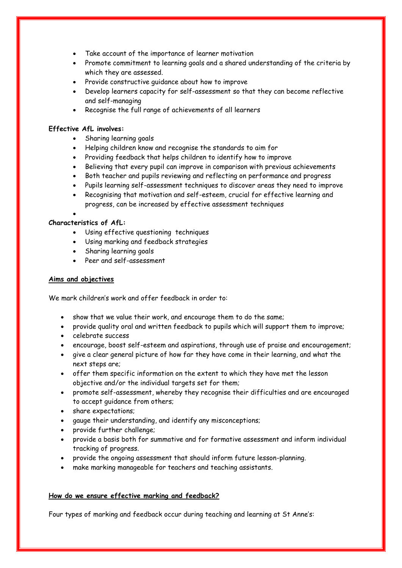- Take account of the importance of learner motivation
- Promote commitment to learning goals and a shared understanding of the criteria by which they are assessed.
- Provide constructive quidance about how to improve
- Develop learners capacity for self-assessment so that they can become reflective and self-managing
- Recognise the full range of achievements of all learners

## **Effective AfL involves:**

- Sharing learning goals
- Helping children know and recognise the standards to aim for
- Providing feedback that helps children to identify how to improve
- Believing that every pupil can improve in comparison with previous achievements
- Both teacher and pupils reviewing and reflecting on performance and progress
- Pupils learning self-assessment techniques to discover areas they need to improve
- Recognising that motivation and self-esteem, crucial for effective learning and progress, can be increased by effective assessment techniques

# **Characteristics of AfL:**

 $\bullet$ 

- Using effective questioning techniques
- Using marking and feedback strategies
- Sharing learning goals
- Peer and self-assessment

### **Aims and objectives**

We mark children's work and offer feedback in order to:

- show that we value their work, and encourage them to do the same;
- provide quality oral and written feedback to pupils which will support them to improve;
- celebrate success
- encourage, boost self-esteem and aspirations, through use of praise and encouragement;
- give a clear general picture of how far they have come in their learning, and what the next steps are;
- offer them specific information on the extent to which they have met the lesson objective and/or the individual targets set for them;
- promote self-assessment, whereby they recognise their difficulties and are encouraged to accept guidance from others;
- share expectations:
- gauge their understanding, and identify any misconceptions;
- provide further challenge;
- provide a basis both for summative and for formative assessment and inform individual tracking of progress.
- provide the ongoing assessment that should inform future lesson-planning.
- make marking manageable for teachers and teaching assistants.

### **How do we ensure effective marking and feedback?**

Four types of marking and feedback occur during teaching and learning at St Anne's: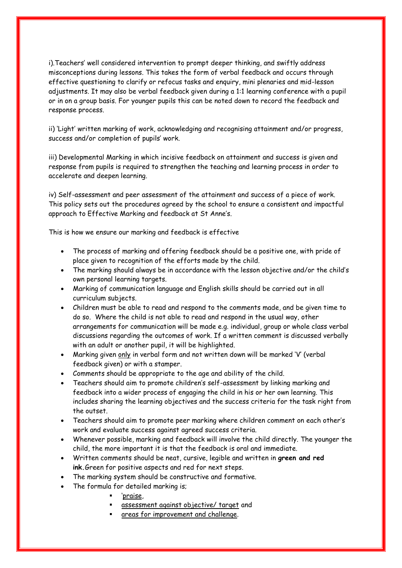i).Teachers' well considered intervention to prompt deeper thinking, and swiftly address misconceptions during lessons. This takes the form of verbal feedback and occurs through effective questioning to clarify or refocus tasks and enquiry, mini plenaries and mid-lesson adjustments. It may also be verbal feedback given during a 1:1 learning conference with a pupil or in on a group basis. For younger pupils this can be noted down to record the feedback and response process.

ii) 'Light' written marking of work, acknowledging and recognising attainment and/or progress, success and/or completion of pupils' work.

iii) Developmental Marking in which incisive feedback on attainment and success is given and response from pupils is required to strengthen the teaching and learning process in order to accelerate and deepen learning.

iv) Self-assessment and peer assessment of the attainment and success of a piece of work. This policy sets out the procedures agreed by the school to ensure a consistent and impactful approach to Effective Marking and feedback at St Anne's.

This is how we ensure our marking and feedback is effective

- The process of marking and offering feedback should be a positive one, with pride of place given to recognition of the efforts made by the child.
- The marking should always be in accordance with the lesson objective and/or the child's own personal learning targets.
- Marking of communication language and English skills should be carried out in all curriculum subjects.
- Children must be able to read and respond to the comments made, and be given time to do so. Where the child is not able to read and respond in the usual way, other arrangements for communication will be made e.g. individual, group or whole class verbal discussions regarding the outcomes of work. If a written comment is discussed verbally with an adult or another pupil, it will be highlighted.
- Marking given only in verbal form and not written down will be marked 'V' (verbal feedback given) or with a stamper.
- Comments should be appropriate to the age and ability of the child.
- Teachers should aim to promote children's self-assessment by linking marking and feedback into a wider process of engaging the child in his or her own learning. This includes sharing the learning objectives and the success criteria for the task right from the outset.
- Teachers should aim to promote peer marking where children comment on each other's work and evaluate success against agreed success criteria.
- Whenever possible, marking and feedback will involve the child directly. The younger the child, the more important it is that the feedback is oral and immediate.
- Written comments should be neat, cursive, legible and written in **green and red ink.**Green for positive aspects and red for next steps.
- The marking system should be constructive and formative.
- The formula for detailed marking is;
	- 'praise,
	- assessment against objective/ target and
	- areas for improvement and challenge.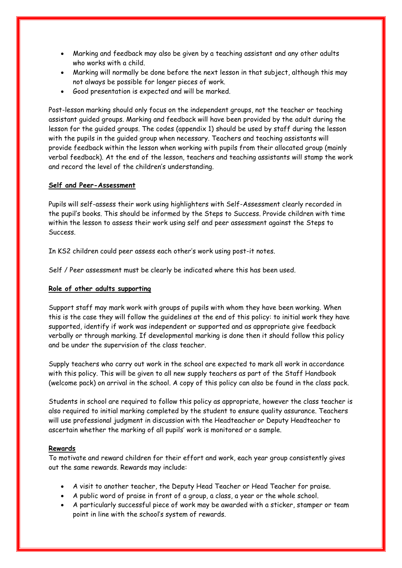- Marking and feedback may also be given by a teaching assistant and any other adults who works with a child
- Marking will normally be done before the next lesson in that subject, although this may not always be possible for longer pieces of work.
- Good presentation is expected and will be marked.

Post-lesson marking should only focus on the independent groups, not the teacher or teaching assistant guided groups. Marking and feedback will have been provided by the adult during the lesson for the guided groups. The codes (appendix 1) should be used by staff during the lesson with the pupils in the guided group when necessary. Teachers and teaching assistants will provide feedback within the lesson when working with pupils from their allocated group (mainly verbal feedback). At the end of the lesson, teachers and teaching assistants will stamp the work and record the level of the children's understanding.

### **Self and Peer-Assessment**

Pupils will self-assess their work using highlighters with Self-Assessment clearly recorded in the pupil's books. This should be informed by the Steps to Success. Provide children with time within the lesson to assess their work using self and peer assessment against the Steps to Success.

In KS2 children could peer assess each other's work using post-it notes.

Self / Peer assessment must be clearly be indicated where this has been used.

### **Role of other adults supporting**

Support staff may mark work with groups of pupils with whom they have been working. When this is the case they will follow the guidelines at the end of this policy: to initial work they have supported, identify if work was independent or supported and as appropriate give feedback verbally or through marking. If developmental marking is done then it should follow this policy and be under the supervision of the class teacher.

Supply teachers who carry out work in the school are expected to mark all work in accordance with this policy. This will be given to all new supply teachers as part of the Staff Handbook (welcome pack) on arrival in the school. A copy of this policy can also be found in the class pack.

Students in school are required to follow this policy as appropriate, however the class teacher is also required to initial marking completed by the student to ensure quality assurance. Teachers will use professional judgment in discussion with the Headteacher or Deputy Headteacher to ascertain whether the marking of all pupils' work is monitored or a sample.

#### **Rewards**

To motivate and reward children for their effort and work, each year group consistently gives out the same rewards. Rewards may include:

- A visit to another teacher, the Deputy Head Teacher or Head Teacher for praise.
- A public word of praise in front of a group, a class, a year or the whole school.
- A particularly successful piece of work may be awarded with a sticker, stamper or team point in line with the school's system of rewards.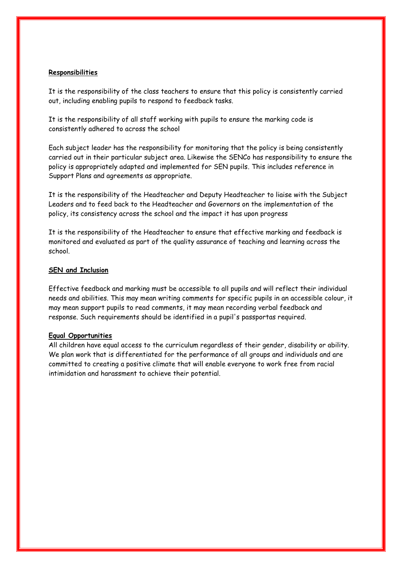### **Responsibilities**

It is the responsibility of the class teachers to ensure that this policy is consistently carried out, including enabling pupils to respond to feedback tasks.

It is the responsibility of all staff working with pupils to ensure the marking code is consistently adhered to across the school

Each subject leader has the responsibility for monitoring that the policy is being consistently carried out in their particular subject area. Likewise the SENCo has responsibility to ensure the policy is appropriately adapted and implemented for SEN pupils. This includes reference in Support Plans and agreements as appropriate.

It is the responsibility of the Headteacher and Deputy Headteacher to liaise with the Subject Leaders and to feed back to the Headteacher and Governors on the implementation of the policy, its consistency across the school and the impact it has upon progress

It is the responsibility of the Headteacher to ensure that effective marking and feedback is monitored and evaluated as part of the quality assurance of teaching and learning across the school.

### **SEN and Inclusion**

Effective feedback and marking must be accessible to all pupils and will reflect their individual needs and abilities. This may mean writing comments for specific pupils in an accessible colour, it may mean support pupils to read comments, it may mean recording verbal feedback and response. Such requirements should be identified in a pupil's passportas required.

### **Equal Opportunities**

All children have equal access to the curriculum regardless of their gender, disability or ability. We plan work that is differentiated for the performance of all groups and individuals and are committed to creating a positive climate that will enable everyone to work free from racial intimidation and harassment to achieve their potential.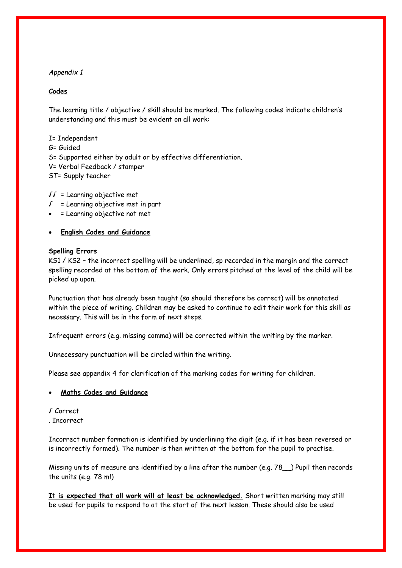# *Appendix 1*

# **Codes**

The learning title / objective / skill should be marked. The following codes indicate children's understanding and this must be evident on all work:

I= Independent G= Guided S= Supported either by adult or by effective differentiation. V= Verbal Feedback / stamper ST= Supply teacher

√√ = Learning objective met

- √ = Learning objective met in part
- = Learning objective not met
- **English Codes and Guidance**

### **Spelling Errors**

KS1 / KS2 – the incorrect spelling will be underlined, sp recorded in the margin and the correct spelling recorded at the bottom of the work. Only errors pitched at the level of the child will be picked up upon.

Punctuation that has already been taught (so should therefore be correct) will be annotated within the piece of writing. Children may be asked to continue to edit their work for this skill as necessary. This will be in the form of next steps.

Infrequent errors (e.g. missing comma) will be corrected within the writing by the marker.

Unnecessary punctuation will be circled within the writing.

Please see appendix 4 for clarification of the marking codes for writing for children.

### **Maths Codes and Guidance**

√ Correct

. Incorrect

Incorrect number formation is identified by underlining the digit (e.g. if it has been reversed or is incorrectly formed). The number is then written at the bottom for the pupil to practise.

Missing units of measure are identified by a line after the number (e.g. 78\_\_) Pupil then records the units (e.g. 78 ml)

**It is expected that all work will at least be acknowledged.** Short written marking may still be used for pupils to respond to at the start of the next lesson. These should also be used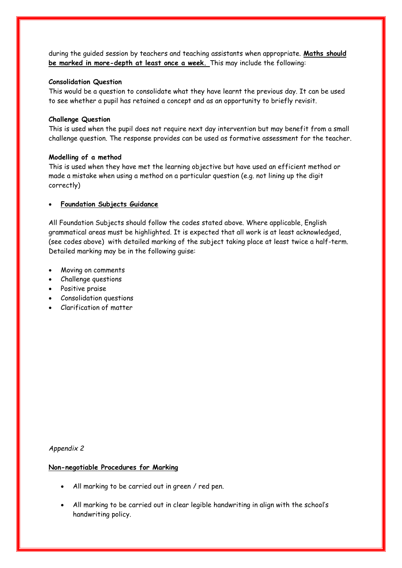during the guided session by teachers and teaching assistants when appropriate. **Maths should be marked in more-depth at least once a week.** This may include the following:

### **Consolidation Question**

This would be a question to consolidate what they have learnt the previous day. It can be used to see whether a pupil has retained a concept and as an opportunity to briefly revisit.

#### **Challenge Question**

This is used when the pupil does not require next day intervention but may benefit from a small challenge question. The response provides can be used as formative assessment for the teacher.

#### **Modelling of a method**

This is used when they have met the learning objective but have used an efficient method or made a mistake when using a method on a particular question (e.g. not lining up the digit correctly)

### **Foundation Subjects Guidance**

All Foundation Subjects should follow the codes stated above. Where applicable, English grammatical areas must be highlighted. It is expected that all work is at least acknowledged, (see codes above) with detailed marking of the subject taking place at least twice a half-term. Detailed marking may be in the following guise:

- Moving on comments
- Challenge questions
- Positive praise
- Consolidation questions
- Clarification of matter

*Appendix 2*

#### **Non-negotiable Procedures for Marking**

- All marking to be carried out in green / red pen.
- All marking to be carried out in clear legible handwriting in align with the school's handwriting policy.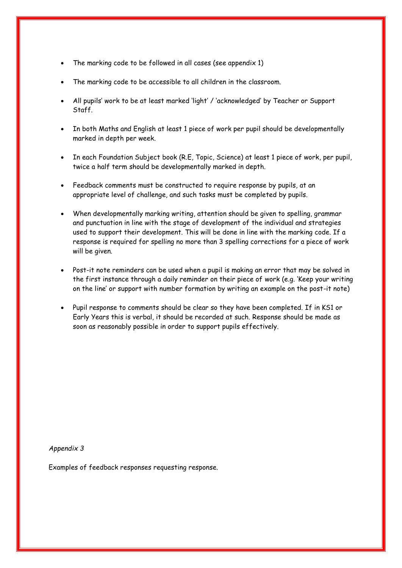- The marking code to be followed in all cases (see appendix 1)
- The marking code to be accessible to all children in the classroom.
- All pupils' work to be at least marked 'light' / 'acknowledged' by Teacher or Support Staff.
- In both Maths and English at least 1 piece of work per pupil should be developmentally marked in depth per week.
- In each Foundation Subject book (R.E, Topic, Science) at least 1 piece of work, per pupil, twice a half term should be developmentally marked in depth.
- Feedback comments must be constructed to require response by pupils, at an appropriate level of challenge, and such tasks must be completed by pupils.
- When developmentally marking writing, attention should be given to spelling, grammar and punctuation in line with the stage of development of the individual and strategies used to support their development. This will be done in line with the marking code. If a response is required for spelling no more than 3 spelling corrections for a piece of work will be given.
- Post-it note reminders can be used when a pupil is making an error that may be solved in the first instance through a daily reminder on their piece of work (e.g. 'Keep your writing on the line' or support with number formation by writing an example on the post-it note)
- Pupil response to comments should be clear so they have been completed. If in KS1 or Early Years this is verbal, it should be recorded at such. Response should be made as soon as reasonably possible in order to support pupils effectively.

*Appendix 3* 

Examples of feedback responses requesting response.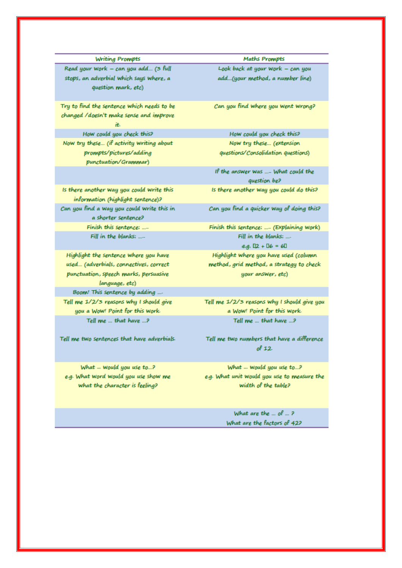**Writing Prompts** 

Read your Work - can you add... (3 full stops, an adverbial which says where, a question mark, etc)

Try to find the sentence which needs to be changed /doesn't make sense and improve ₩.

How could you check this? Now try these... (if activity writing about prompts/pictures/adding punctuation/Grammar)

Is there another way you could write this information (highlight sentence)? Can you find a Way you could Write this in a shorter sentence? Finish this sentence: ..... Fill in the blanks: ....

Highlight the sentence where you have used... (adverbials, connectives, correct punctuation, speech marks, persuasive language, etc) Boom! This sentence by adding ... Tell me 1/2/3 reasons why I should give you a Wow! Point for this work. Tell me ... that have ...?

Tell me two sentences that have adverbials

What ... Would you use to...? e.g. What word would you use show me what the character is feeling?

**Maths Prompts** Look back at your Work  $-$  can you add...(your method, a number line)

Can you find where you went wrong?

How could you check this? Now try these... (extension questions/Consolidation questions)

If the answer was .... What could the question be? Is there another way you could do this?

Can you find a quicker way of doing this?

Finish this sentence: .... (Explaining Work) Fill in the blanks: ... e.g.  $12 + 16 = 61$ 

Highlight where you have used (column method, grid method, a strategy to check your answer, etc)

Tell me 1/2/3 reasons why I should give you a Wow! Point for this work. Tell me ... that have ...?

Tell me two numbers that have a difference  $of 12.$ 

What ... Would you use to...? e.g. What unit Would you use to measure the width of the table?

> What are the  $...$  of  $...$  ? What are the factors of 42?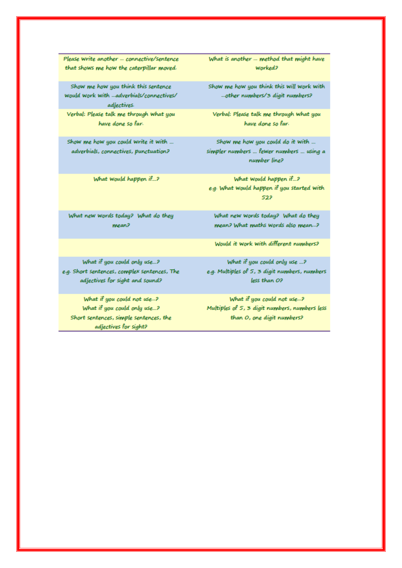Please Write another ... connective/sentence that shows me how the caterpillar moved.

Show me how you think this sentence would work with -- adverbials/connectives/ adjectives. Verbal: Please talk me through what you have done so far.

Show me how you could write it with ... adverbials, connectives, punctuation?

What would happen if...?

What is another ... method that might have Worked?

Show me how you think this will work with ...other numbers/3 digit numbers?

Verbal: Please talk me through what you have done so far.

Show me how you could do it with ... simpler numbers ... fewer numbers ... using a number line?

What would happen if...? e.g. What Would happen if you started with 522

What new Words today? What do they mean? What maths words also mean...?

Would it work with different numbers?

What if you could only use ...? e.g. Multiples of 5, 3 digit numbers, numbers less than O?

What if you could not use...? Multiples of 5, 3 digit numbers, numbers less than *O*, one digit numbers?

What if you could only use...? e.g. Short sentences, complex sentences, The adjectives for sight and sound?

What new words today? What do they

mean?

What if you could not use...? What if you could only use...? Short sentences, simple sentences, the adjectives for sight?